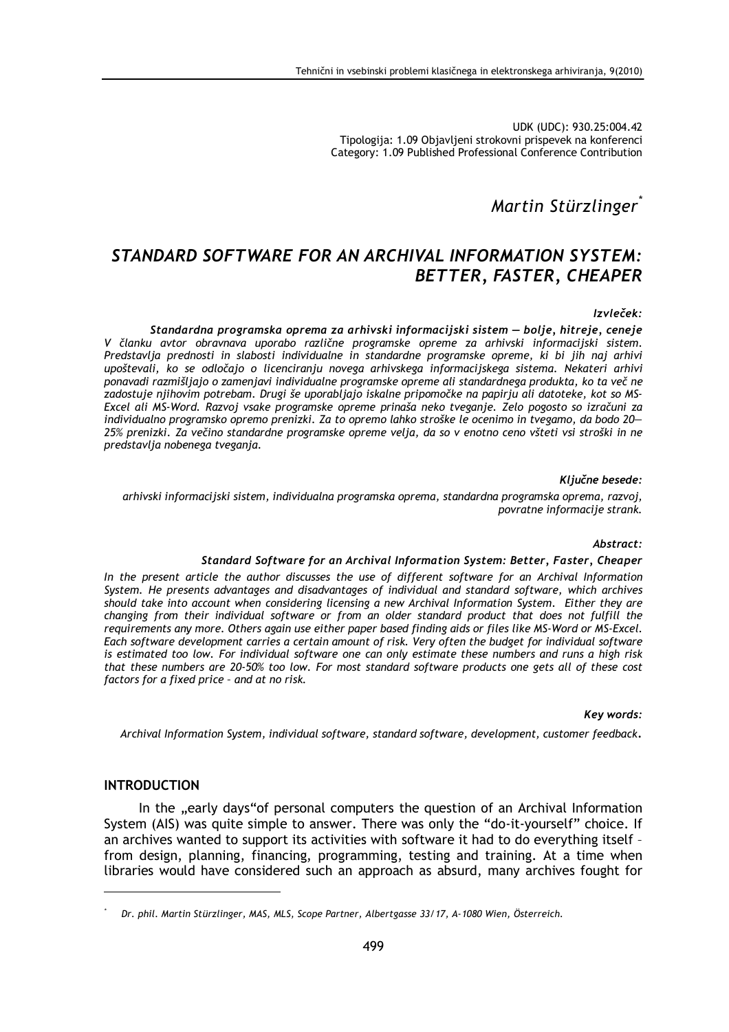UDK (UDC): 930.25:004.42 Tipologija: 1.09 Objavljeni strokovni prispevek na konferenci Category: 1.09 Published Professional Conference Contribution

# Martin Stürzlinger

# STANDARD SOFTWARE FOR AN ARCHIVAL INFORMATION SYSTEM: **BETTER, FASTER, CHEAPER**

#### Izvleček:

Standardna programska oprema za arhivski informacijski sistem – bolje, hitreje, ceneje V članku avtor obravnava uporabo različne programske opreme za arhivski informacijski sistem. Predstavlja prednosti in slabosti individualne in standardne programske opreme, ki bi jih naj arhivi upoštevali, ko se odločajo o licenciranju novega arhivskega informacijskega sistema. Nekateri arhivi ponavadi razmišljajo o zamenjavi individualne programske opreme ali standardnega produkta, ko ta več ne zadostuje njihovim potrebam. Drugi še uporabljajo iskalne pripomočke na papirju ali datoteke, kot so MS-Excel ali MS-Word. Razvoj vsake programske opreme prinaša neko tveganje. Zelo pogosto so izračuni za individualno programsko opremo prenizki. Za to opremo lahko stroške le ocenimo in tvegamo, da bodo 20-25% prenizki. Za večino standardne programske opreme velja, da so v enotno ceno všteti vsi stroški in ne predstavlja nobenega tveganja.

#### Ključne besede:

arhivski informacijski sistem, individualna programska oprema, standardna programska oprema, razvoj, povratne informacije strank.

#### Abstract:

#### Standard Software for an Archival Information System: Better, Faster, Cheaper

In the present article the author discusses the use of different software for an Archival Information System. He presents advantages and disadvantages of individual and standard software, which archives should take into account when considering licensing a new Archival Information System. Either they are changing from their individual software or from an older standard product that does not fulfill the requirements any more. Others again use either paper based finding aids or files like MS-Word or MS-Excel. Each software development carries a certain amount of risk. Very often the budget for individual software is estimated too low. For individual software one can only estimate these numbers and runs a high risk that these numbers are 20-50% too low. For most standard software products one gets all of these cost factors for a fixed price - and at no risk.

#### Key words:

Archival Information System, individual software, standard software, development, customer feedback.

#### **INTRODUCTION**

In the "early days" of personal computers the question of an Archival Information System (AIS) was quite simple to answer. There was only the "do-it-yourself" choice. If an archives wanted to support its activities with software it had to do everything itself from design, planning, financing, programming, testing and training. At a time when libraries would have considered such an approach as absurd, many archives fought for

Dr. phil. Martin Stürzlinger, MAS, MLS, Scope Partner, Albertgasse 33/17, A-1080 Wien, Österreich.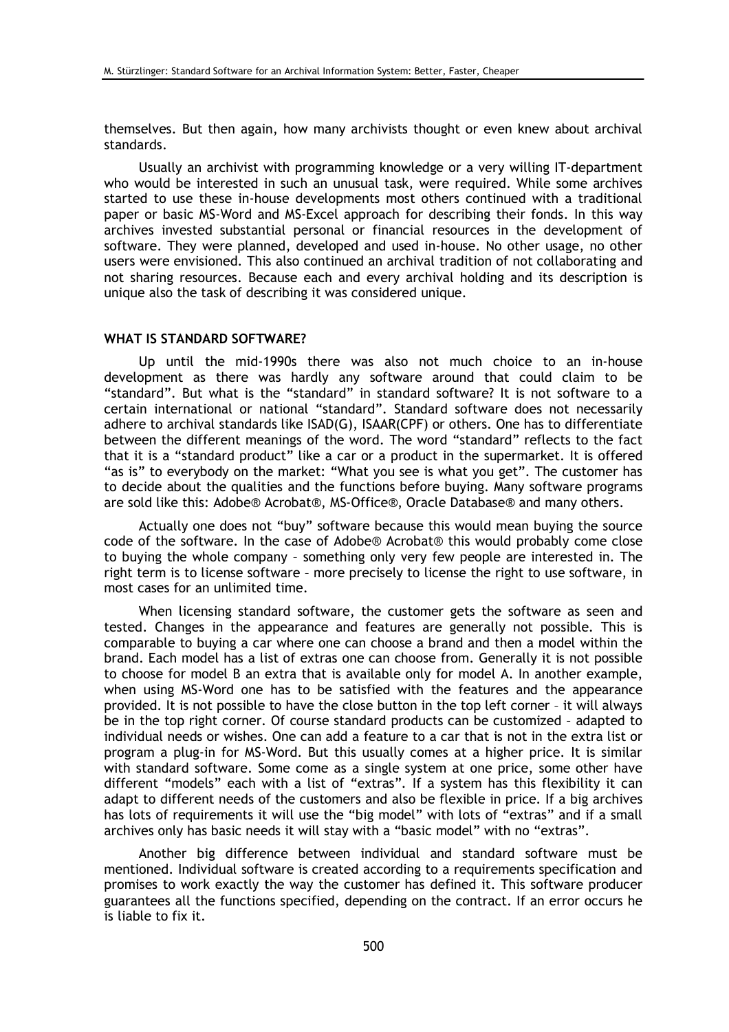themselves. But then again, how many archivists thought or even knew about archival standards.

Usually an archivist with programming knowledge or a very willing IT-department who would be interested in such an unusual task, were required. While some archives started to use these in-house developments most others continued with a traditional paper or basic MS-Word and MS-Excel approach for describing their fonds. In this way archives invested substantial personal or financial resources in the development of software. They were planned, developed and used in-house. No other usage, no other users were envisioned. This also continued an archival tradition of not collaborating and not sharing resources. Because each and every archival holding and its description is unique also the task of describing it was considered unique.

### **WHAT IS STANDARD SOFTWARE?**

Up until the mid-1990s there was also not much choice to an in-house development as there was hardly any software around that could claim to be "standard". But what is the "standard" in standard software? It is not software to a certain international or national "standard". Standard software does not necessarily adhere to archival standards like ISAD(G), ISAAR(CPF) or others. One has to differentiate between the different meanings of the word. The word "standard" reflects to the fact that it is a "standard product" like a car or a product in the supermarket. It is offered "as is" to everybody on the market: "What you see is what you get". The customer has to decide about the qualities and the functions before buying. Many software programs are sold like this: Adobe® Acrobat®, MS-Office®, Oracle Database® and many others.

Actually one does not "buy" software because this would mean buying the source code of the software. In the case of Adobe® Acrobat® this would probably come close to buving the whole company - something only very few people are interested in. The right term is to license software - more precisely to license the right to use software, in most cases for an unlimited time.

When licensing standard software, the customer gets the software as seen and tested. Changes in the appearance and features are generally not possible. This is comparable to buying a car where one can choose a brand and then a model within the brand. Each model has a list of extras one can choose from. Generally it is not possible to choose for model B an extra that is available only for model A. In another example, when using MS-Word one has to be satisfied with the features and the appearance provided. It is not possible to have the close button in the top left corner - it will always be in the top right corner. Of course standard products can be customized - adapted to individual needs or wishes. One can add a feature to a car that is not in the extra list or program a plug-in for MS-Word. But this usually comes at a higher price. It is similar with standard software. Some come as a single system at one price, some other have different "models" each with a list of "extras". If a system has this flexibility it can adapt to different needs of the customers and also be flexible in price. If a big archives has lots of requirements it will use the "big model" with lots of "extras" and if a small archives only has basic needs it will stay with a "basic model" with no "extras".

Another big difference between individual and standard software must be mentioned. Individual software is created according to a requirements specification and promises to work exactly the way the customer has defined it. This software producer guarantees all the functions specified, depending on the contract. If an error occurs he is liable to fix it.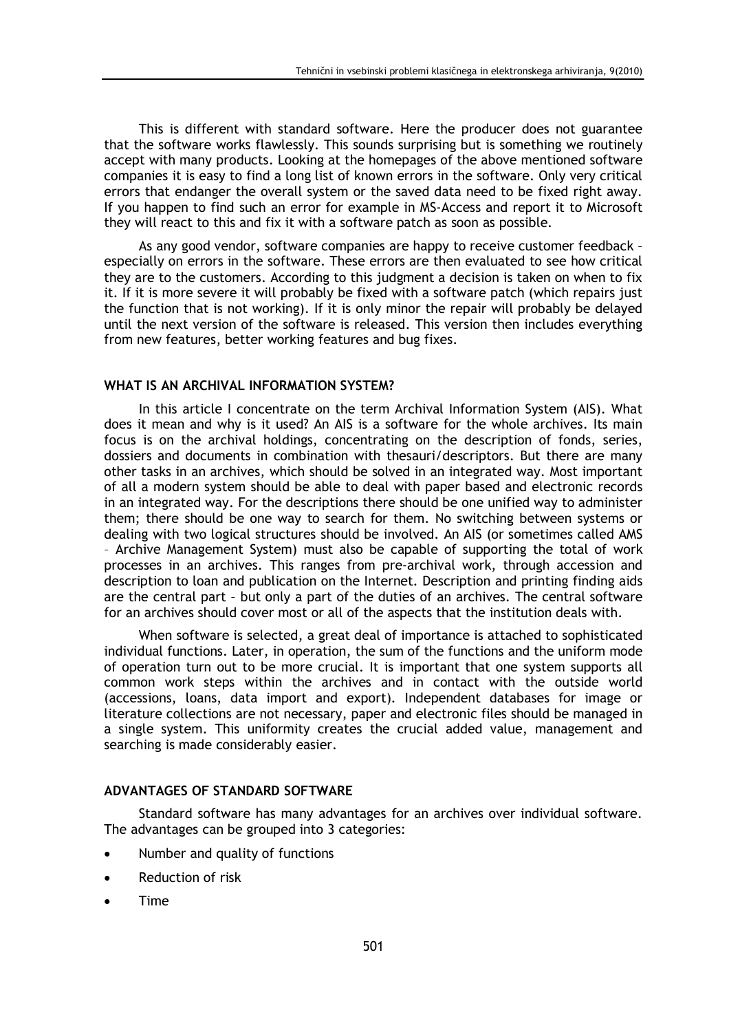This is different with standard software. Here the producer does not guarantee that the software works flawlessly. This sounds surprising but is something we routinely accept with many products. Looking at the homepages of the above mentioned software companies it is easy to find a long list of known errors in the software. Only very critical errors that endanger the overall system or the saved data need to be fixed right away. If you happen to find such an error for example in MS-Access and report it to Microsoft they will react to this and fix it with a software patch as soon as possible.

As any good vendor, software companies are happy to receive customer feedback especially on errors in the software. These errors are then evaluated to see how critical they are to the customers. According to this judgment a decision is taken on when to fix it. If it is more severe it will probably be fixed with a software patch (which repairs just the function that is not working). If it is only minor the repair will probably be delayed until the next version of the software is released. This version then includes everything from new features, better working features and bug fixes.

### WHAT IS AN ARCHIVAL INFORMATION SYSTEM?

In this article I concentrate on the term Archival Information System (AIS). What does it mean and why is it used? An AIS is a software for the whole archives. Its main focus is on the archival holdings, concentrating on the description of fonds, series, dossiers and documents in combination with thesauri/descriptors. But there are many other tasks in an archives, which should be solved in an integrated way. Most important of all a modern system should be able to deal with paper based and electronic records in an integrated way. For the descriptions there should be one unified way to administer them; there should be one way to search for them. No switching between systems or dealing with two logical structures should be involved. An AIS (or sometimes called AMS - Archive Management System) must also be capable of supporting the total of work processes in an archives. This ranges from pre-archival work, through accession and description to loan and publication on the Internet. Description and printing finding aids are the central part - but only a part of the duties of an archives. The central software for an archives should cover most or all of the aspects that the institution deals with.

When software is selected, a great deal of importance is attached to sophisticated individual functions. Later, in operation, the sum of the functions and the uniform mode of operation turn out to be more crucial. It is important that one system supports all common work steps within the archives and in contact with the outside world (accessions, loans, data import and export). Independent databases for image or literature collections are not necessary, paper and electronic files should be managed in a single system. This uniformity creates the crucial added value, management and searching is made considerably easier.

#### ADVANTAGES OF STANDARD SOFTWARE

Standard software has many advantages for an archives over individual software. The advantages can be grouped into 3 categories:

- Number and quality of functions
- Reduction of risk  $\bullet$
- **Time**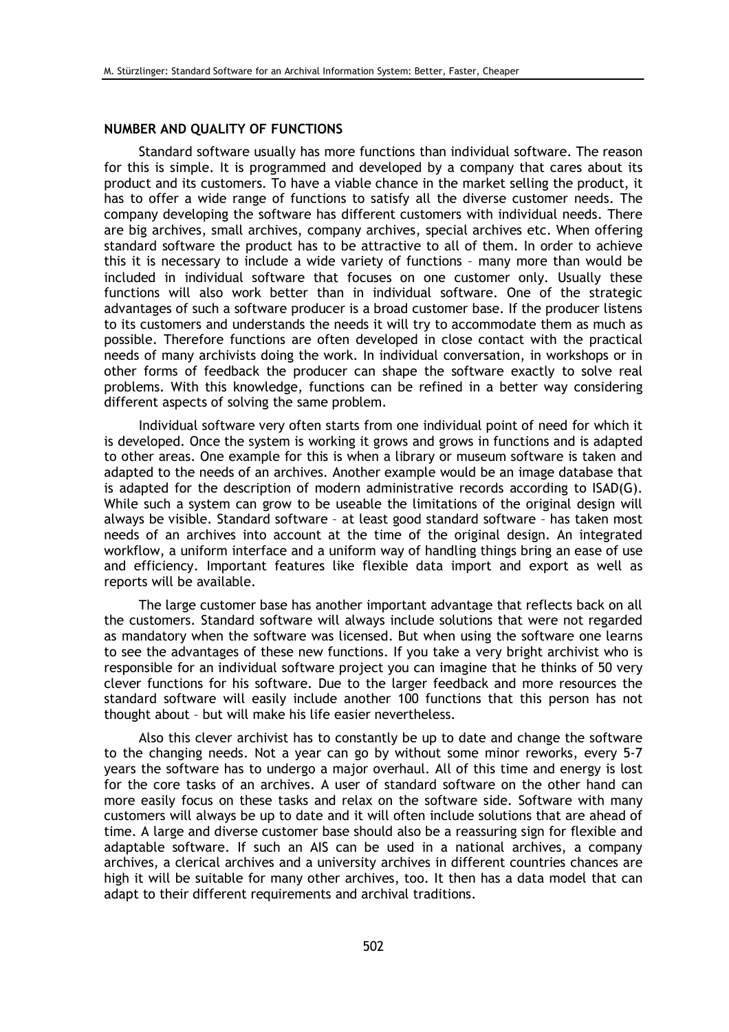# NUMBER AND QUALITY OF FUNCTIONS

Standard software usually has more functions than individual software. The reason for this is simple. It is programmed and developed by a company that cares about its product and its customers. To have a viable chance in the market selling the product, it has to offer a wide range of functions to satisfy all the diverse customer needs. The company developing the software has different customers with individual needs. There are big archives, small archives, company archives, special archives etc. When offering standard software the product has to be attractive to all of them. In order to achieve this it is necessary to include a wide variety of functions - many more than would be included in individual software that focuses on one customer only. Usually these functions will also work better than in individual software. One of the strategic advantages of such a software producer is a broad customer base. If the producer listens to its customers and understands the needs it will try to accommodate them as much as possible. Therefore functions are often developed in close contact with the practical needs of many archivists doing the work. In individual conversation, in workshops or in other forms of feedback the producer can shape the software exactly to solve real problems. With this knowledge, functions can be refined in a better way considering different aspects of solving the same problem.

Individual software very often starts from one individual point of need for which it is developed. Once the system is working it grows and grows in functions and is adapted to other areas. One example for this is when a library or museum software is taken and adapted to the needs of an archives. Another example would be an image database that is adapted for the description of modern administrative records according to ISAD(G). While such a system can grow to be useable the limitations of the original design will always be visible. Standard software - at least good standard software - has taken most needs of an archives into account at the time of the original design. An integrated workflow, a uniform interface and a uniform way of handling things bring an ease of use and efficiency. Important features like flexible data import and export as well as reports will be available.

The large customer base has another important advantage that reflects back on all the customers. Standard software will always include solutions that were not regarded as mandatory when the software was licensed. But when using the software one learns to see the advantages of these new functions. If you take a very bright archivist who is responsible for an individual software project you can imagine that he thinks of 50 very clever functions for his software. Due to the larger feedback and more resources the standard software will easily include another 100 functions that this person has not thought about - but will make his life easier nevertheless.

Also this clever archivist has to constantly be up to date and change the software to the changing needs. Not a year can go by without some minor reworks, every 5-7 years the software has to undergo a major overhaul. All of this time and energy is lost for the core tasks of an archives. A user of standard software on the other hand can more easily focus on these tasks and relax on the software side. Software with many customers will always be up to date and it will often include solutions that are ahead of time. A large and diverse customer base should also be a reassuring sign for flexible and adaptable software. If such an AIS can be used in a national archives, a company archives, a clerical archives and a university archives in different countries chances are high it will be suitable for many other archives, too. It then has a data model that can adapt to their different requirements and archival traditions.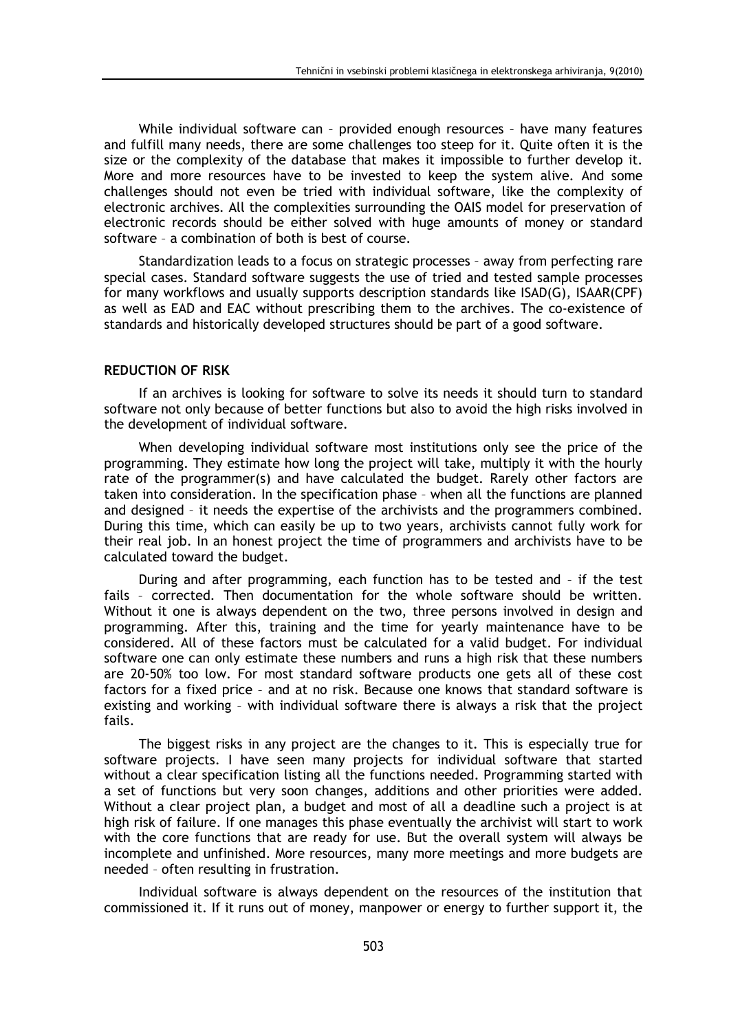While individual software can - provided enough resources - have many features and fulfill many needs, there are some challenges too steep for it. Quite often it is the size or the complexity of the database that makes it impossible to further develop it. More and more resources have to be invested to keep the system alive. And some challenges should not even be tried with individual software, like the complexity of electronic archives. All the complexities surrounding the OAIS model for preservation of electronic records should be either solved with huge amounts of money or standard software - a combination of both is best of course.

Standardization leads to a focus on strategic processes - away from perfecting rare special cases. Standard software suggests the use of tried and tested sample processes for many workflows and usually supports description standards like ISAD(G), ISAAR(CPF) as well as EAD and EAC without prescribing them to the archives. The co-existence of standards and historically developed structures should be part of a good software.

# **REDUCTION OF RISK**

If an archives is looking for software to solve its needs it should turn to standard software not only because of better functions but also to avoid the high risks involved in the development of individual software.

When developing individual software most institutions only see the price of the programming. They estimate how long the project will take, multiply it with the hourly rate of the programmer(s) and have calculated the budget. Rarely other factors are taken into consideration. In the specification phase - when all the functions are planned and designed - it needs the expertise of the archivists and the programmers combined. During this time, which can easily be up to two years, archivists cannot fully work for their real job. In an honest project the time of programmers and archivists have to be calculated toward the budget.

During and after programming, each function has to be tested and - if the test fails - corrected. Then documentation for the whole software should be written. Without it one is always dependent on the two, three persons involved in design and programming. After this, training and the time for yearly maintenance have to be considered. All of these factors must be calculated for a valid budget. For individual software one can only estimate these numbers and runs a high risk that these numbers are 20-50% too low. For most standard software products one gets all of these cost factors for a fixed price - and at no risk. Because one knows that standard software is existing and working - with individual software there is always a risk that the project fails.

The biggest risks in any project are the changes to it. This is especially true for software projects. I have seen many projects for individual software that started without a clear specification listing all the functions needed. Programming started with a set of functions but very soon changes, additions and other priorities were added. Without a clear project plan, a budget and most of all a deadline such a project is at high risk of failure. If one manages this phase eventually the archivist will start to work with the core functions that are ready for use. But the overall system will always be incomplete and unfinished. More resources, many more meetings and more budgets are needed - often resulting in frustration.

Individual software is always dependent on the resources of the institution that commissioned it. If it runs out of money, manpower or energy to further support it, the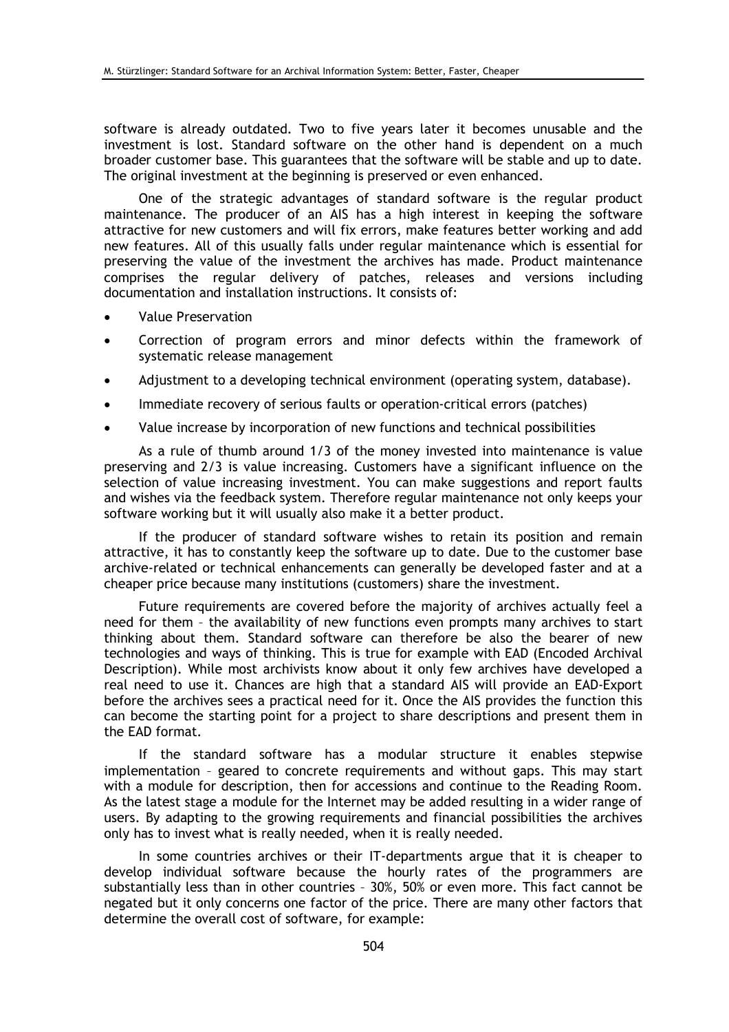software is already outdated. Two to five years later it becomes unusable and the investment is lost. Standard software on the other hand is dependent on a much broader customer base. This guarantees that the software will be stable and up to date. The original investment at the beginning is preserved or even enhanced.

One of the strategic advantages of standard software is the regular product maintenance. The producer of an AIS has a high interest in keeping the software attractive for new customers and will fix errors, make features better working and add new features. All of this usually falls under regular maintenance which is essential for preserving the value of the investment the archives has made. Product maintenance comprises the regular delivery of patches, releases and versions including documentation and installation instructions. It consists of:

- **Value Preservation**
- Correction of program errors and minor defects within the framework of systematic release management
- Adjustment to a developing technical environment (operating system, database).
- Immediate recovery of serious faults or operation-critical errors (patches)
- Value increase by incorporation of new functions and technical possibilities

As a rule of thumb around 1/3 of the money invested into maintenance is value preserving and 2/3 is value increasing. Customers have a significant influence on the selection of value increasing investment. You can make suggestions and report faults and wishes via the feedback system. Therefore regular maintenance not only keeps your software working but it will usually also make it a better product.

If the producer of standard software wishes to retain its position and remain attractive, it has to constantly keep the software up to date. Due to the customer base archive-related or technical enhancements can generally be developed faster and at a cheaper price because many institutions (customers) share the investment.

Future requirements are covered before the majority of archives actually feel a need for them - the availability of new functions even prompts many archives to start thinking about them. Standard software can therefore be also the bearer of new technologies and ways of thinking. This is true for example with EAD (Encoded Archival Description). While most archivists know about it only few archives have developed a real need to use it. Chances are high that a standard AIS will provide an EAD-Export before the archives sees a practical need for it. Once the AIS provides the function this can become the starting point for a project to share descriptions and present them in the EAD format.

If the standard software has a modular structure it enables stepwise implementation - geared to concrete requirements and without gaps. This may start with a module for description, then for accessions and continue to the Reading Room. As the latest stage a module for the Internet may be added resulting in a wider range of users. By adapting to the growing requirements and financial possibilities the archives only has to invest what is really needed, when it is really needed.

In some countries archives or their IT-departments argue that it is cheaper to develop individual software because the hourly rates of the programmers are substantially less than in other countries - 30%, 50% or even more. This fact cannot be negated but it only concerns one factor of the price. There are many other factors that determine the overall cost of software, for example: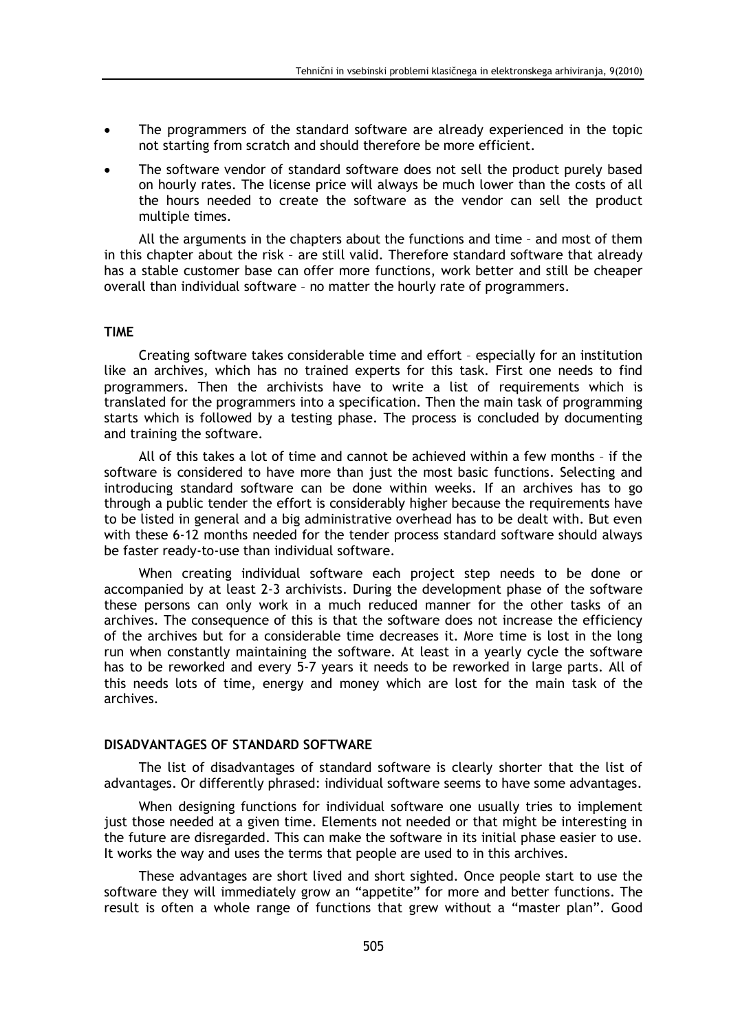- The programmers of the standard software are already experienced in the topic not starting from scratch and should therefore be more efficient.
- The software vendor of standard software does not sell the product purely based on hourly rates. The license price will always be much lower than the costs of all the hours needed to create the software as the vendor can sell the product multiple times.

All the arguments in the chapters about the functions and time - and most of them in this chapter about the risk - are still valid. Therefore standard software that already has a stable customer base can offer more functions, work better and still be cheaper overall than individual software - no matter the hourly rate of programmers.

#### **TIME**

Creating software takes considerable time and effort - especially for an institution like an archives, which has no trained experts for this task. First one needs to find programmers. Then the archivists have to write a list of requirements which is translated for the programmers into a specification. Then the main task of programming starts which is followed by a testing phase. The process is concluded by documenting and training the software.

All of this takes a lot of time and cannot be achieved within a few months - if the software is considered to have more than just the most basic functions. Selecting and introducing standard software can be done within weeks. If an archives has to go through a public tender the effort is considerably higher because the requirements have to be listed in general and a big administrative overhead has to be dealt with. But even with these 6-12 months needed for the tender process standard software should always be faster ready-to-use than individual software.

When creating individual software each project step needs to be done or accompanied by at least 2-3 archivists. During the development phase of the software these persons can only work in a much reduced manner for the other tasks of an archives. The consequence of this is that the software does not increase the efficiency of the archives but for a considerable time decreases it. More time is lost in the long run when constantly maintaining the software. At least in a vearly cycle the software has to be reworked and every 5-7 years it needs to be reworked in large parts. All of this needs lots of time, energy and money which are lost for the main task of the archives.

## DISADVANTAGES OF STANDARD SOFTWARE

The list of disadvantages of standard software is clearly shorter that the list of advantages. Or differently phrased: individual software seems to have some advantages.

When designing functions for individual software one usually tries to implement just those needed at a given time. Elements not needed or that might be interesting in the future are disregarded. This can make the software in its initial phase easier to use. It works the way and uses the terms that people are used to in this archives.

These advantages are short lived and short sighted. Once people start to use the software they will immediately grow an "appetite" for more and better functions. The result is often a whole range of functions that grew without a "master plan". Good